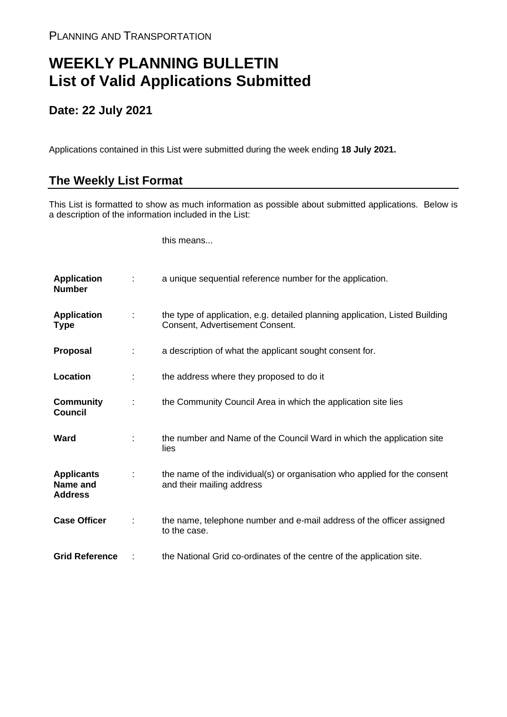## **WEEKLY PLANNING BULLETIN List of Valid Applications Submitted**

## **Date: 22 July 2021**

Applications contained in this List were submitted during the week ending **18 July 2021.**

## **The Weekly List Format**

This List is formatted to show as much information as possible about submitted applications. Below is a description of the information included in the List:

this means...

| <b>Application</b><br><b>Number</b>             |               | a unique sequential reference number for the application.                                                       |
|-------------------------------------------------|---------------|-----------------------------------------------------------------------------------------------------------------|
| <b>Application</b><br><b>Type</b>               | $\mathcal{L}$ | the type of application, e.g. detailed planning application, Listed Building<br>Consent, Advertisement Consent. |
| <b>Proposal</b>                                 | ÷             | a description of what the applicant sought consent for.                                                         |
| Location                                        |               | the address where they proposed to do it                                                                        |
| <b>Community</b><br><b>Council</b>              |               | the Community Council Area in which the application site lies                                                   |
| Ward                                            |               | the number and Name of the Council Ward in which the application site<br>lies                                   |
| <b>Applicants</b><br>Name and<br><b>Address</b> |               | the name of the individual(s) or organisation who applied for the consent<br>and their mailing address          |
| <b>Case Officer</b>                             |               | the name, telephone number and e-mail address of the officer assigned<br>to the case.                           |
| <b>Grid Reference</b>                           |               | the National Grid co-ordinates of the centre of the application site.                                           |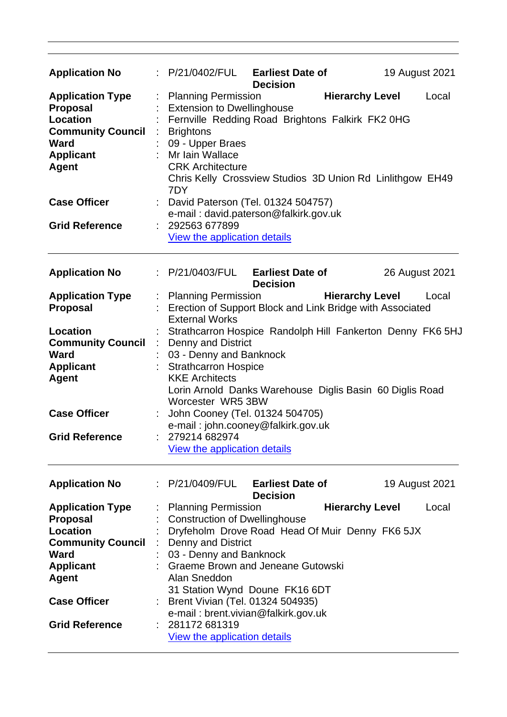| <b>Application No</b>    |                                                                                   | : P/21/0402/FUL                                                               | <b>Earliest Date of</b><br><b>Decision</b>                |                        | 19 August 2021 |       |  |
|--------------------------|-----------------------------------------------------------------------------------|-------------------------------------------------------------------------------|-----------------------------------------------------------|------------------------|----------------|-------|--|
| <b>Application Type</b>  |                                                                                   | : Planning Permission                                                         |                                                           | <b>Hierarchy Level</b> |                | Local |  |
| <b>Proposal</b>          |                                                                                   | <b>Extension to Dwellinghouse</b>                                             |                                                           |                        |                |       |  |
| Location                 |                                                                                   | Fernville Redding Road Brightons Falkirk FK2 0HG                              |                                                           |                        |                |       |  |
| <b>Community Council</b> |                                                                                   | <b>Brightons</b>                                                              |                                                           |                        |                |       |  |
| <b>Ward</b>              |                                                                                   | 09 - Upper Braes                                                              |                                                           |                        |                |       |  |
| <b>Applicant</b>         | Mr Iain Wallace                                                                   |                                                                               |                                                           |                        |                |       |  |
| <b>Agent</b>             |                                                                                   | <b>CRK Architecture</b>                                                       | Chris Kelly Crossview Studios 3D Union Rd Linlithgow EH49 |                        |                |       |  |
|                          |                                                                                   | 7DY                                                                           |                                                           |                        |                |       |  |
| <b>Case Officer</b>      |                                                                                   |                                                                               |                                                           |                        |                |       |  |
|                          |                                                                                   | : David Paterson (Tel. 01324 504757)<br>e-mail: david.paterson@falkirk.gov.uk |                                                           |                        |                |       |  |
| <b>Grid Reference</b>    |                                                                                   | 292563 677899                                                                 |                                                           |                        |                |       |  |
|                          |                                                                                   | View the application details                                                  |                                                           |                        |                |       |  |
|                          |                                                                                   |                                                                               |                                                           |                        |                |       |  |
| <b>Application No</b>    |                                                                                   | : P/21/0403/FUL                                                               | <b>Earliest Date of</b>                                   |                        | 26 August 2021 |       |  |
|                          |                                                                                   |                                                                               | <b>Decision</b>                                           |                        |                |       |  |
| <b>Application Type</b>  |                                                                                   | : Planning Permission                                                         |                                                           | <b>Hierarchy Level</b> |                | Local |  |
| <b>Proposal</b>          |                                                                                   | Erection of Support Block and Link Bridge with Associated                     |                                                           |                        |                |       |  |
|                          |                                                                                   | <b>External Works</b>                                                         |                                                           |                        |                |       |  |
| Location                 |                                                                                   | Strathcarron Hospice Randolph Hill Fankerton Denny FK6 5HJ                    |                                                           |                        |                |       |  |
| <b>Community Council</b> |                                                                                   | <b>Denny and District</b>                                                     |                                                           |                        |                |       |  |
| <b>Ward</b>              |                                                                                   | 03 - Denny and Banknock                                                       |                                                           |                        |                |       |  |
| <b>Applicant</b>         |                                                                                   | : Strathcarron Hospice                                                        |                                                           |                        |                |       |  |
| <b>Agent</b>             | <b>KKE Architects</b><br>Lorin Arnold Danks Warehouse Diglis Basin 60 Diglis Road |                                                                               |                                                           |                        |                |       |  |
|                          |                                                                                   | Worcester WR5 3BW                                                             |                                                           |                        |                |       |  |
| <b>Case Officer</b>      |                                                                                   | John Cooney (Tel. 01324 504705)                                               |                                                           |                        |                |       |  |
|                          |                                                                                   | e-mail: john.cooney@falkirk.gov.uk                                            |                                                           |                        |                |       |  |
| <b>Grid Reference</b>    |                                                                                   | 279214 682974                                                                 |                                                           |                        |                |       |  |
|                          |                                                                                   | View the application details                                                  |                                                           |                        |                |       |  |
|                          |                                                                                   |                                                                               |                                                           |                        |                |       |  |
| <b>Application No</b>    |                                                                                   | : P/21/0409/FUL Earliest Date of                                              |                                                           |                        | 19 August 2021 |       |  |
|                          |                                                                                   |                                                                               | <b>Decision</b>                                           |                        |                |       |  |
| <b>Application Type</b>  |                                                                                   | <b>Planning Permission</b>                                                    |                                                           | <b>Hierarchy Level</b> |                | Local |  |
| Proposal                 |                                                                                   | <b>Construction of Dwellinghouse</b>                                          |                                                           |                        |                |       |  |
| <b>Location</b>          |                                                                                   | Dryfeholm Drove Road Head Of Muir Denny FK6 5JX                               |                                                           |                        |                |       |  |
| <b>Community Council</b> |                                                                                   | Denny and District                                                            |                                                           |                        |                |       |  |
| <b>Ward</b>              |                                                                                   | 03 - Denny and Banknock                                                       |                                                           |                        |                |       |  |
| <b>Applicant</b>         |                                                                                   | <b>Graeme Brown and Jeneane Gutowski</b>                                      |                                                           |                        |                |       |  |
| <b>Agent</b>             |                                                                                   | Alan Sneddon                                                                  |                                                           |                        |                |       |  |
|                          |                                                                                   | 31 Station Wynd Doune FK16 6DT                                                |                                                           |                        |                |       |  |
| <b>Case Officer</b>      |                                                                                   | Brent Vivian (Tel. 01324 504935)                                              |                                                           |                        |                |       |  |
|                          |                                                                                   | e-mail: brent.vivian@falkirk.gov.uk                                           |                                                           |                        |                |       |  |
| <b>Grid Reference</b>    |                                                                                   | 281172 681319                                                                 |                                                           |                        |                |       |  |
|                          |                                                                                   | <b>View the application details</b>                                           |                                                           |                        |                |       |  |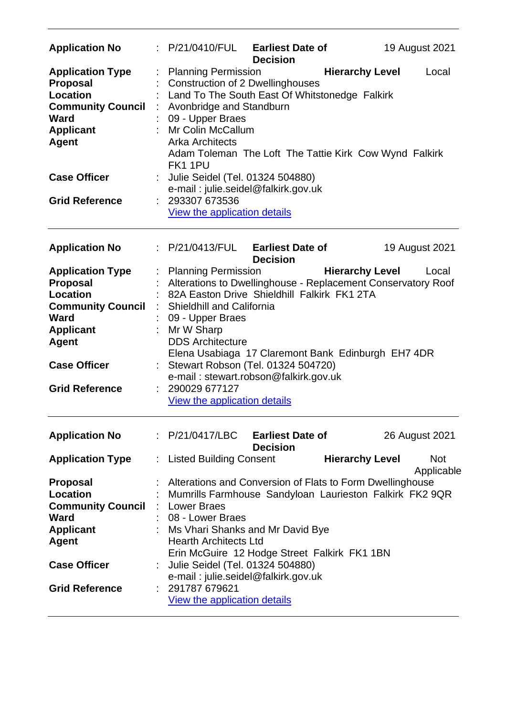| <b>Application No</b>                                                                                                                 |                                                                                                                                     | P/21/0410/FUL Earliest Date of<br><b>Decision</b>                                         | 19 August 2021                                                                            |  |  |  |
|---------------------------------------------------------------------------------------------------------------------------------------|-------------------------------------------------------------------------------------------------------------------------------------|-------------------------------------------------------------------------------------------|-------------------------------------------------------------------------------------------|--|--|--|
| <b>Application Type</b><br><b>Proposal</b><br>Location<br><b>Community Council</b><br><b>Ward</b><br><b>Applicant</b><br><b>Agent</b> | <b>Planning Permission</b><br>Avonbridge and Standburn<br>09 - Upper Braes<br>Mr Colin McCallum<br><b>Arka Architects</b><br>FK11PU | <b>Construction of 2 Dwellinghouses</b><br>Land To The South East Of Whitstonedge Falkirk | <b>Hierarchy Level</b><br>Local<br>Adam Toleman The Loft The Tattie Kirk Cow Wynd Falkirk |  |  |  |
| <b>Case Officer</b><br><b>Grid Reference</b>                                                                                          | 293307 673536                                                                                                                       | Julie Seidel (Tel. 01324 504880)<br>e-mail: julie.seidel@falkirk.gov.uk                   |                                                                                           |  |  |  |
|                                                                                                                                       | View the application details                                                                                                        |                                                                                           |                                                                                           |  |  |  |
| <b>Application No</b>                                                                                                                 |                                                                                                                                     | $\therefore$ P/21/0413/FUL Earliest Date of<br><b>Decision</b>                            | 19 August 2021                                                                            |  |  |  |
| <b>Application Type</b>                                                                                                               | Planning Permission                                                                                                                 |                                                                                           | <b>Hierarchy Level</b><br>Local                                                           |  |  |  |
| <b>Proposal</b>                                                                                                                       |                                                                                                                                     | Alterations to Dwellinghouse - Replacement Conservatory Roof                              |                                                                                           |  |  |  |
| Location                                                                                                                              |                                                                                                                                     | 82A Easton Drive Shieldhill Falkirk FK1 2TA                                               |                                                                                           |  |  |  |
| <b>Community Council</b>                                                                                                              | <b>Shieldhill and California</b>                                                                                                    |                                                                                           |                                                                                           |  |  |  |
| Ward                                                                                                                                  | 09 - Upper Braes                                                                                                                    |                                                                                           |                                                                                           |  |  |  |
| <b>Applicant</b>                                                                                                                      | Mr W Sharp                                                                                                                          |                                                                                           |                                                                                           |  |  |  |
| <b>Agent</b>                                                                                                                          | <b>DDS Architecture</b>                                                                                                             |                                                                                           |                                                                                           |  |  |  |
|                                                                                                                                       |                                                                                                                                     |                                                                                           | Elena Usabiaga 17 Claremont Bank Edinburgh EH7 4DR                                        |  |  |  |
| <b>Case Officer</b>                                                                                                                   |                                                                                                                                     | Stewart Robson (Tel. 01324 504720)                                                        |                                                                                           |  |  |  |
|                                                                                                                                       |                                                                                                                                     | e-mail: stewart.robson@falkirk.gov.uk                                                     |                                                                                           |  |  |  |
| <b>Grid Reference</b>                                                                                                                 | 290029 677127                                                                                                                       |                                                                                           |                                                                                           |  |  |  |
|                                                                                                                                       | View the application details                                                                                                        |                                                                                           |                                                                                           |  |  |  |
| <b>Application No</b>                                                                                                                 | : P/21/0417/LBC                                                                                                                     | <b>Earliest Date of</b><br><b>Decision</b>                                                | 26 August 2021                                                                            |  |  |  |
| <b>Application Type</b>                                                                                                               | Listed Building Consent                                                                                                             |                                                                                           | <b>Hierarchy Level</b><br><b>Not</b><br>Applicable                                        |  |  |  |
| <b>Proposal</b>                                                                                                                       |                                                                                                                                     |                                                                                           | Alterations and Conversion of Flats to Form Dwellinghouse                                 |  |  |  |
| Location                                                                                                                              |                                                                                                                                     |                                                                                           | Mumrills Farmhouse Sandyloan Laurieston Falkirk FK2 9QR                                   |  |  |  |
| <b>Community Council</b>                                                                                                              | : Lower Braes                                                                                                                       |                                                                                           |                                                                                           |  |  |  |
| Ward                                                                                                                                  | 08 - Lower Braes                                                                                                                    |                                                                                           |                                                                                           |  |  |  |
| <b>Applicant</b>                                                                                                                      |                                                                                                                                     | Ms Vhari Shanks and Mr David Bye                                                          |                                                                                           |  |  |  |
| <b>Agent</b>                                                                                                                          | <b>Hearth Architects Ltd</b>                                                                                                        |                                                                                           |                                                                                           |  |  |  |
|                                                                                                                                       |                                                                                                                                     | Erin McGuire 12 Hodge Street Falkirk FK1 1BN                                              |                                                                                           |  |  |  |
| <b>Case Officer</b>                                                                                                                   |                                                                                                                                     | Julie Seidel (Tel. 01324 504880)                                                          |                                                                                           |  |  |  |
|                                                                                                                                       |                                                                                                                                     | e-mail: julie.seidel@falkirk.gov.uk                                                       |                                                                                           |  |  |  |
| <b>Grid Reference</b>                                                                                                                 | 291787 679621                                                                                                                       |                                                                                           |                                                                                           |  |  |  |
|                                                                                                                                       | <b>View the application details</b>                                                                                                 |                                                                                           |                                                                                           |  |  |  |
|                                                                                                                                       |                                                                                                                                     |                                                                                           |                                                                                           |  |  |  |